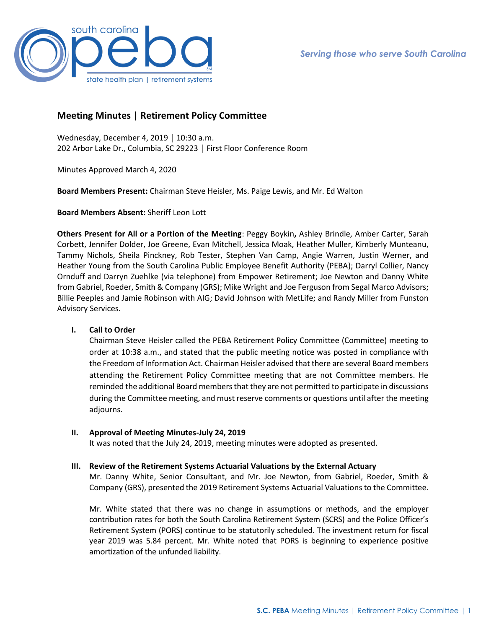

# **Meeting Minutes | Retirement Policy Committee**

Wednesday, December 4, 2019 │ 10:30 a.m. 202 Arbor Lake Dr., Columbia, SC 29223 │ First Floor Conference Room

Minutes Approved March 4, 2020

**Board Members Present:** Chairman Steve Heisler, Ms. Paige Lewis, and Mr. Ed Walton

**Board Members Absent:** Sheriff Leon Lott

**Others Present for All or a Portion of the Meeting**: Peggy Boykin**,** Ashley Brindle, Amber Carter, Sarah Corbett, Jennifer Dolder, Joe Greene, Evan Mitchell, Jessica Moak, Heather Muller, Kimberly Munteanu, Tammy Nichols, Sheila Pinckney, Rob Tester, Stephen Van Camp, Angie Warren, Justin Werner, and Heather Young from the South Carolina Public Employee Benefit Authority (PEBA); Darryl Collier, Nancy Ornduff and Darryn Zuehlke (via telephone) from Empower Retirement; Joe Newton and Danny White from Gabriel, Roeder, Smith & Company (GRS); Mike Wright and Joe Ferguson from Segal Marco Advisors; Billie Peeples and Jamie Robinson with AIG; David Johnson with MetLife; and Randy Miller from Funston Advisory Services.

# **I. Call to Order**

Chairman Steve Heisler called the PEBA Retirement Policy Committee (Committee) meeting to order at 10:38 a.m., and stated that the public meeting notice was posted in compliance with the Freedom of Information Act. Chairman Heisler advised that there are several Board members attending the Retirement Policy Committee meeting that are not Committee members. He reminded the additional Board members that they are not permitted to participate in discussions during the Committee meeting, and must reserve comments or questions until after the meeting adjourns.

### **II. Approval of Meeting Minutes-July 24, 2019**

It was noted that the July 24, 2019, meeting minutes were adopted as presented.

# **III. Review of the Retirement Systems Actuarial Valuations by the External Actuary**

Mr. Danny White, Senior Consultant, and Mr. Joe Newton, from Gabriel, Roeder, Smith & Company (GRS), presented the 2019 Retirement Systems Actuarial Valuations to the Committee.

Mr. White stated that there was no change in assumptions or methods, and the employer contribution rates for both the South Carolina Retirement System (SCRS) and the Police Officer's Retirement System (PORS) continue to be statutorily scheduled. The investment return for fiscal year 2019 was 5.84 percent. Mr. White noted that PORS is beginning to experience positive amortization of the unfunded liability.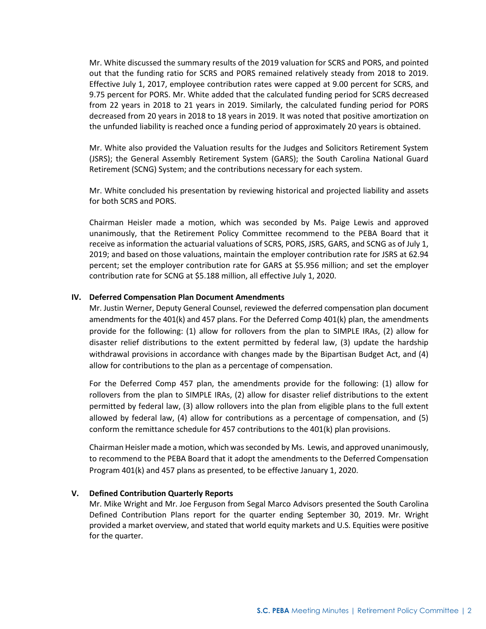Mr. White discussed the summary results of the 2019 valuation for SCRS and PORS, and pointed out that the funding ratio for SCRS and PORS remained relatively steady from 2018 to 2019. Effective July 1, 2017, employee contribution rates were capped at 9.00 percent for SCRS, and 9.75 percent for PORS. Mr. White added that the calculated funding period for SCRS decreased from 22 years in 2018 to 21 years in 2019. Similarly, the calculated funding period for PORS decreased from 20 years in 2018 to 18 years in 2019. It was noted that positive amortization on the unfunded liability is reached once a funding period of approximately 20 years is obtained.

Mr. White also provided the Valuation results for the Judges and Solicitors Retirement System (JSRS); the General Assembly Retirement System (GARS); the South Carolina National Guard Retirement (SCNG) System; and the contributions necessary for each system.

Mr. White concluded his presentation by reviewing historical and projected liability and assets for both SCRS and PORS.

Chairman Heisler made a motion, which was seconded by Ms. Paige Lewis and approved unanimously, that the Retirement Policy Committee recommend to the PEBA Board that it receive as information the actuarial valuations of SCRS, PORS, JSRS, GARS, and SCNG as of July 1, 2019; and based on those valuations, maintain the employer contribution rate for JSRS at 62.94 percent; set the employer contribution rate for GARS at \$5.956 million; and set the employer contribution rate for SCNG at \$5.188 million, all effective July 1, 2020.

### **IV. Deferred Compensation Plan Document Amendments**

Mr. Justin Werner, Deputy General Counsel, reviewed the deferred compensation plan document amendments for the 401(k) and 457 plans. For the Deferred Comp 401(k) plan, the amendments provide for the following: (1) allow for rollovers from the plan to SIMPLE IRAs, (2) allow for disaster relief distributions to the extent permitted by federal law, (3) update the hardship withdrawal provisions in accordance with changes made by the Bipartisan Budget Act, and (4) allow for contributions to the plan as a percentage of compensation.

For the Deferred Comp 457 plan, the amendments provide for the following: (1) allow for rollovers from the plan to SIMPLE IRAs, (2) allow for disaster relief distributions to the extent permitted by federal law, (3) allow rollovers into the plan from eligible plans to the full extent allowed by federal law, (4) allow for contributions as a percentage of compensation, and (5) conform the remittance schedule for 457 contributions to the 401(k) plan provisions.

Chairman Heisler made a motion, which was seconded by Ms. Lewis, and approved unanimously, to recommend to the PEBA Board that it adopt the amendments to the Deferred Compensation Program 401(k) and 457 plans as presented, to be effective January 1, 2020.

#### **V. Defined Contribution Quarterly Reports**

Mr. Mike Wright and Mr. Joe Ferguson from Segal Marco Advisors presented the South Carolina Defined Contribution Plans report for the quarter ending September 30, 2019. Mr. Wright provided a market overview, and stated that world equity markets and U.S. Equities were positive for the quarter.